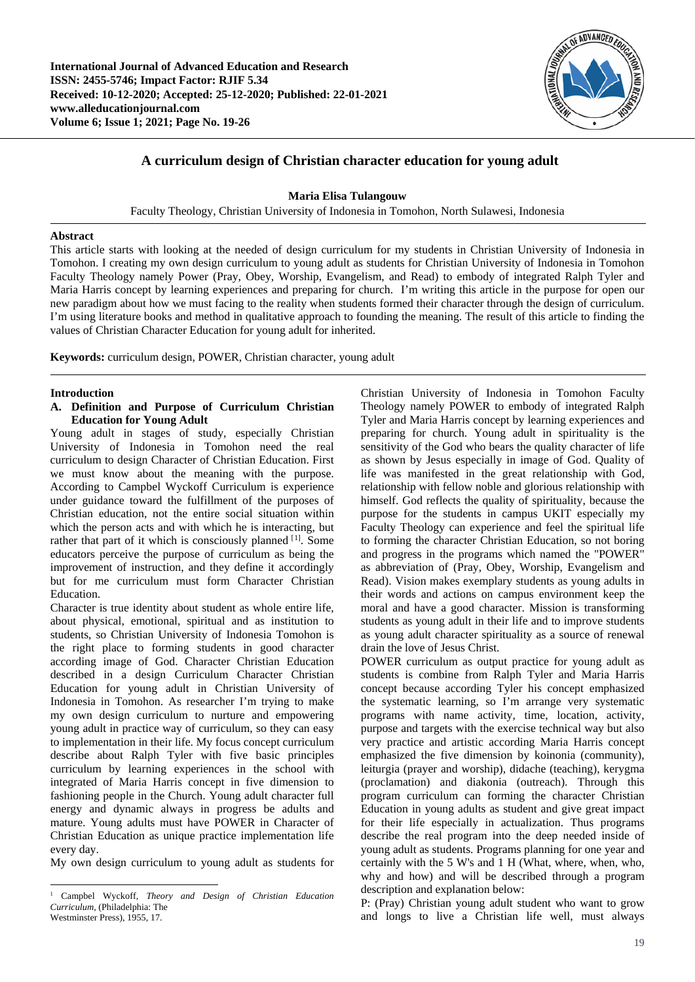

# **A curriculum design of Christian character education for young adult**

**Maria Elisa Tulangouw**

Faculty Theology, Christian University of Indonesia in Tomohon, North Sulawesi, Indonesia

### **Abstract**

This article starts with looking at the needed of design curriculum for my students in Christian University of Indonesia in Tomohon. I creating my own design curriculum to young adult as students for Christian University of Indonesia in Tomohon Faculty Theology namely Power (Pray, Obey, Worship, Evangelism, and Read) to embody of integrated Ralph Tyler and Maria Harris concept by learning experiences and preparing for church. I'm writing this article in the purpose for open our new paradigm about how we must facing to the reality when students formed their character through the design of curriculum. I'm using literature books and method in qualitative approach to founding the meaning. The result of this article to finding the values of Christian Character Education for young adult for inherited.

**Keywords:** curriculum design, POWER, Christian character, young adult

# **Introduction**

l

# **A. Definition and Purpose of Curriculum Christian Education for Young Adult**

Young adult in stages of study, especially Christian University of Indonesia in Tomohon need the real curriculum to design Character of Christian Education. First we must know about the meaning with the purpose. According to Campbel Wyckoff Curriculum is experience under guidance toward the fulfillment of the purposes of Christian education, not the entire social situation within which the person acts and with which he is interacting, but rather that part of it which is consciously planned [[1](#page-0-0)]. Some educators perceive the purpose of curriculum as being the improvement of instruction, and they define it accordingly but for me curriculum must form Character Christian Education.

Character is true identity about student as whole entire life, about physical, emotional, spiritual and as institution to students, so Christian University of Indonesia Tomohon is the right place to forming students in good character according image of God. Character Christian Education described in a design Curriculum Character Christian Education for young adult in Christian University of Indonesia in Tomohon. As researcher I'm trying to make my own design curriculum to nurture and empowering young adult in practice way of curriculum, so they can easy to implementation in their life. My focus concept curriculum describe about Ralph Tyler with five basic principles curriculum by learning experiences in the school with integrated of Maria Harris concept in five dimension to fashioning people in the Church. Young adult character full energy and dynamic always in progress be adults and mature. Young adults must have POWER in Character of Christian Education as unique practice implementation life every day.

My own design curriculum to young adult as students for

Christian University of Indonesia in Tomohon Faculty Theology namely POWER to embody of integrated Ralph Tyler and Maria Harris concept by learning experiences and preparing for church. Young adult in spirituality is the sensitivity of the God who bears the quality character of life as shown by Jesus especially in image of God. Quality of life was manifested in the great relationship with God, relationship with fellow noble and glorious relationship with himself. God reflects the quality of spirituality, because the purpose for the students in campus UKIT especially my Faculty Theology can experience and feel the spiritual life to forming the character Christian Education, so not boring and progress in the programs which named the "POWER" as abbreviation of (Pray, Obey, Worship, Evangelism and Read). Vision makes exemplary students as young adults in their words and actions on campus environment keep the moral and have a good character. Mission is transforming students as young adult in their life and to improve students as young adult character spirituality as a source of renewal drain the love of Jesus Christ.

POWER curriculum as output practice for young adult as students is combine from Ralph Tyler and Maria Harris concept because according Tyler his concept emphasized the systematic learning, so I'm arrange very systematic programs with name activity, time, location, activity, purpose and targets with the exercise technical way but also very practice and artistic according Maria Harris concept emphasized the five dimension by koinonia (community), leiturgia (prayer and worship), didache (teaching), kerygma (proclamation) and diakonia (outreach). Through this program curriculum can forming the character Christian Education in young adults as student and give great impact for their life especially in actualization. Thus programs describe the real program into the deep needed inside of young adult as students. Programs planning for one year and certainly with the 5 W's and 1 H (What, where, when, who, why and how) and will be described through a program description and explanation below:

P: (Pray) Christian young adult student who want to grow and longs to live a Christian life well, must always

<span id="page-0-0"></span><sup>1</sup> Campbel Wyckoff, *Theory and Design of Christian Education Curriculum,* (Philadelphia: The Westminster Press), 1955, 17.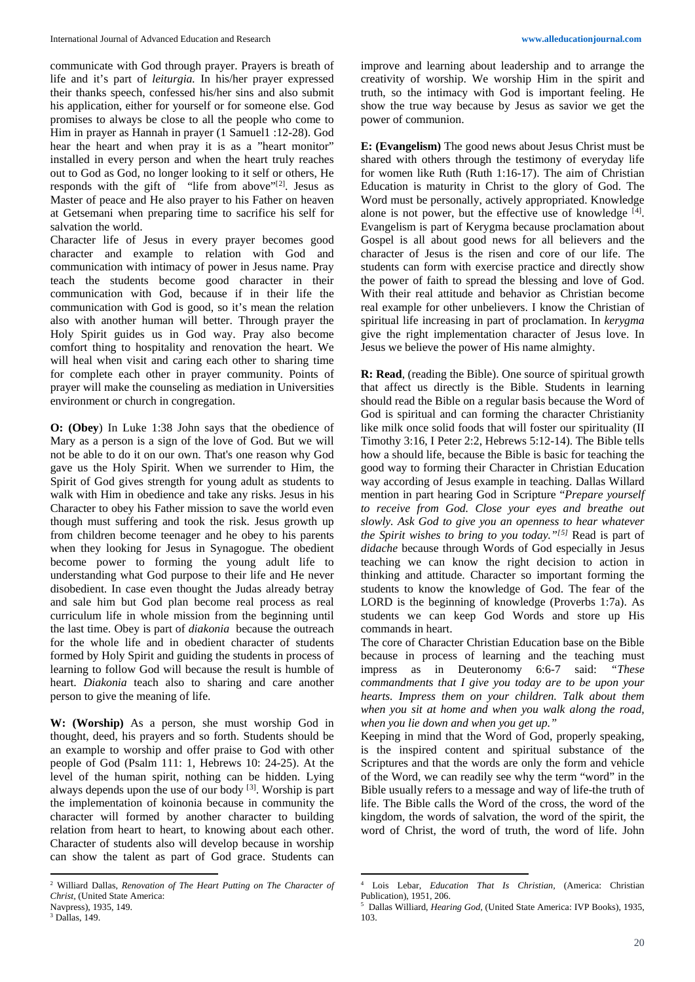communicate with God through prayer. Prayers is breath of life and it's part of *leiturgia.* In his/her prayer expressed their thanks speech, confessed his/her sins and also submit his application, either for yourself or for someone else. God promises to always be close to all the people who come to Him in prayer as Hannah in prayer (1 Samuel1 :12-28). God hear the heart and when pray it is as a "heart monitor" installed in every person and when the heart truly reaches out to God as God, no longer looking to it self or others, He responds with the gift of "life from above"<sup>[[2](#page-1-0)]</sup>. Jesus as Master of peace and He also prayer to his Father on heaven at Getsemani when preparing time to sacrifice his self for salvation the world.

Character life of Jesus in every prayer becomes good character and example to relation with God and communication with intimacy of power in Jesus name. Pray teach the students become good character in their communication with God, because if in their life the communication with God is good, so it's mean the relation also with another human will better. Through prayer the Holy Spirit guides us in God way. Pray also become comfort thing to hospitality and renovation the heart. We will heal when visit and caring each other to sharing time for complete each other in prayer community. Points of prayer will make the counseling as mediation in Universities environment or church in congregation.

**O: (Obey**) In Luke 1:38 John says that the obedience of Mary as a person is a sign of the love of God. But we will not be able to do it on our own. That's one reason why God gave us the Holy Spirit. When we surrender to Him, the Spirit of God gives strength for young adult as students to walk with Him in obedience and take any risks. Jesus in his Character to obey his Father mission to save the world even though must suffering and took the risk. Jesus growth up from children become teenager and he obey to his parents when they looking for Jesus in Synagogue. The obedient become power to forming the young adult life to understanding what God purpose to their life and He never disobedient. In case even thought the Judas already betray and sale him but God plan become real process as real curriculum life in whole mission from the beginning until the last time. Obey is part of *diakonia* because the outreach for the whole life and in obedient character of students formed by Holy Spirit and guiding the students in process of learning to follow God will because the result is humble of heart. *Diakonia* teach also to sharing and care another person to give the meaning of life.

**W: (Worship)** As a person, she must worship God in thought, deed, his prayers and so forth. Students should be an example to worship and offer praise to God with other people of God (Psalm 111: 1, Hebrews 10: 24-25). At the level of the human spirit, nothing can be hidden. Lying always depends upon the use of our body  $[3]$  $[3]$  $[3]$ . Worship is part the implementation of koinonia because in community the character will formed by another character to building relation from heart to heart, to knowing about each other. Character of students also will develop because in worship can show the talent as part of God grace. Students can

 $\overline{a}$ 

improve and learning about leadership and to arrange the creativity of worship. We worship Him in the spirit and truth, so the intimacy with God is important feeling. He show the true way because by Jesus as savior we get the power of communion.

**E: (Evangelism)** The good news about Jesus Christ must be shared with others through the testimony of everyday life for women like Ruth (Ruth 1:16-17). The aim of Christian Education is maturity in Christ to the glory of God. The Word must be personally, actively appropriated. Knowledge alone is not power, but the effective use of knowledge [[4\]](#page-1-0). Evangelism is part of Kerygma because proclamation about Gospel is all about good news for all believers and the character of Jesus is the risen and core of our life. The students can form with exercise practice and directly show the power of faith to spread the blessing and love of God. With their real attitude and behavior as Christian become real example for other unbelievers. I know the Christian of spiritual life increasing in part of proclamation. In *kerygma* give the right implementation character of Jesus love. In Jesus we believe the power of His name almighty.

**R: Read**, (reading the Bible). One source of spiritual growth that affect us directly is the Bible. Students in learning should read the Bible on a regular basis because the Word of God is spiritual and can forming the character Christianity like milk once solid foods that will foster our spirituality (II Timothy 3:16, I Peter 2:2, Hebrews 5:12-14). The Bible tells how a should life, because the Bible is basic for teaching the good way to forming their Character in Christian Education way according of Jesus example in teaching. Dallas Willard mention in part hearing God in Scripture "*Prepare yourself to receive from God. Close your eyes and breathe out slowly. Ask God to give you an openness to hear whatever the Spirit wishes to bring to you today."[[5](#page-1-2)]* Read is part of *didache* because through Words of God especially in Jesus teaching we can know the right decision to action in thinking and attitude. Character so important forming the students to know the knowledge of God. The fear of the LORD is the beginning of knowledge (Proverbs 1:7a). As students we can keep God Words and store up His commands in heart.

The core of Character Christian Education base on the Bible because in process of learning and the teaching must impress as in Deuteronomy 6:6-7 said: *"These commandments that I give you today are to be upon your hearts. Impress them on your children. Talk about them when you sit at home and when you walk along the road, when you lie down and when you get up."*

Keeping in mind that the Word of God, properly speaking, is the inspired content and spiritual substance of the Scriptures and that the words are only the form and vehicle of the Word, we can readily see why the term "word" in the Bible usually refers to a message and way of life-the truth of life. The Bible calls the Word of the cross, the word of the kingdom, the words of salvation, the word of the spirit, the word of Christ, the word of truth, the word of life. John

 $\overline{a}$ 

<span id="page-1-0"></span><sup>2</sup> Williard Dallas, *Renovation of The Heart Putting on The Character of Christ,* (United State America:

<span id="page-1-2"></span><span id="page-1-1"></span>Navpress), 1935, 149.  $3$  Dallas,  $149$ .

<sup>4</sup> Lois Lebar, *Education That Is Christian,* (America: Christian Publication), 1951, 206.

<sup>5</sup> Dallas Williard, *Hearing God,* (United State America: IVP Books), 1935, 103.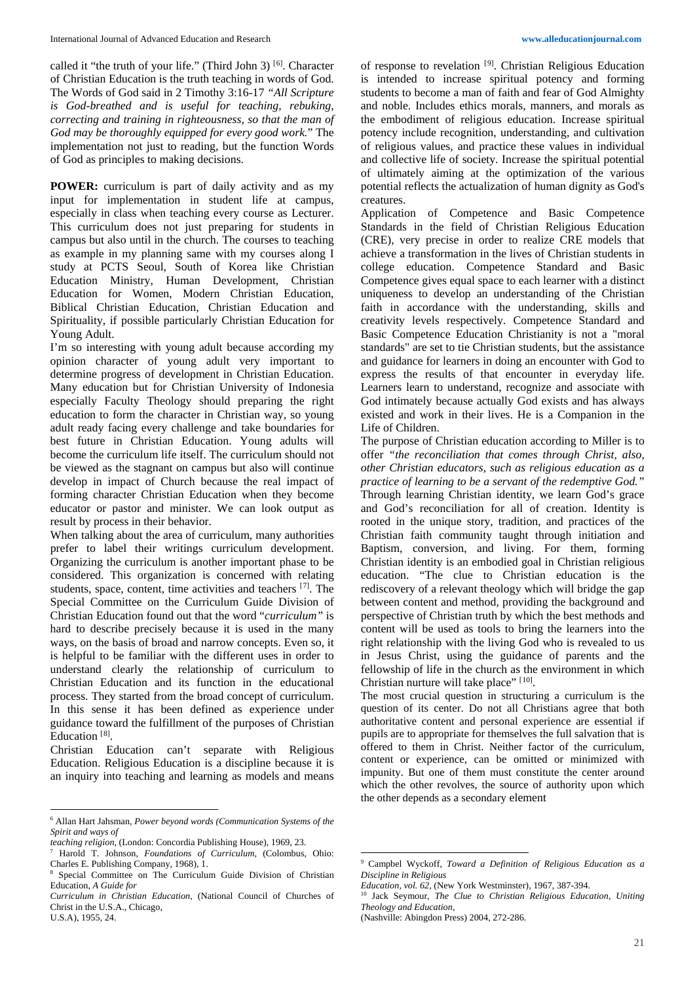called it "the truth of your life." (Third John 3)<sup>[[6\]](#page-2-0)</sup>. Character of Christian Education is the truth teaching in words of God. The Words of God said in 2 Timothy 3:16-17 *"All Scripture is God-breathed and is useful for teaching, rebuking, correcting and training in righteousness, so that the man of God may be thoroughly equipped for every good work.*" The implementation not just to reading, but the function Words of God as principles to making decisions.

**POWER:** curriculum is part of daily activity and as my input for implementation in student life at campus, especially in class when teaching every course as Lecturer. This curriculum does not just preparing for students in campus but also until in the church. The courses to teaching as example in my planning same with my courses along I study at PCTS Seoul, South of Korea like Christian Education Ministry, Human Development, Christian Education for Women, Modern Christian Education, Biblical Christian Education, Christian Education and Spirituality, if possible particularly Christian Education for Young Adult.

I'm so interesting with young adult because according my opinion character of young adult very important to determine progress of development in Christian Education. Many education but for Christian University of Indonesia especially Faculty Theology should preparing the right education to form the character in Christian way, so young adult ready facing every challenge and take boundaries for best future in Christian Education. Young adults will become the curriculum life itself. The curriculum should not be viewed as the stagnant on campus but also will continue develop in impact of Church because the real impact of forming character Christian Education when they become educator or pastor and minister. We can look output as result by process in their behavior.

When talking about the area of curriculum, many authorities prefer to label their writings curriculum development. Organizing the curriculum is another important phase to be considered. This organization is concerned with relating students, space, content, time activities and teachers <sup>[[7\]](#page-2-1)</sup>. The Special Committee on the Curriculum Guide Division of Christian Education found out that the word "*curriculum"* is hard to describe precisely because it is used in the many ways, on the basis of broad and narrow concepts. Even so, it is helpful to be familiar with the different uses in order to understand clearly the relationship of curriculum to Christian Education and its function in the educational process. They started from the broad concept of curriculum. In this sense it has been defined as experience under guidance toward the fulfillment of the purposes of Christian Education<sup>[[8](#page-2-2)]</sup>.

Christian Education can't separate with Religious Education. Religious Education is a discipline because it is an inquiry into teaching and learning as models and means

 $\overline{a}$ 

of response to revelation <sup>[[9\]](#page-2-3)</sup>. Christian Religious Education is intended to increase spiritual potency and forming students to become a man of faith and fear of God Almighty and noble. Includes ethics morals, manners, and morals as the embodiment of religious education. Increase spiritual potency include recognition, understanding, and cultivation of religious values, and practice these values in individual and collective life of society. Increase the spiritual potential of ultimately aiming at the optimization of the various potential reflects the actualization of human dignity as God's creatures.

Application of Competence and Basic Competence Standards in the field of Christian Religious Education (CRE), very precise in order to realize CRE models that achieve a transformation in the lives of Christian students in college education. Competence Standard and Basic Competence gives equal space to each learner with a distinct uniqueness to develop an understanding of the Christian faith in accordance with the understanding, skills and creativity levels respectively. Competence Standard and Basic Competence Education Christianity is not a "moral standards" are set to tie Christian students, but the assistance and guidance for learners in doing an encounter with God to express the results of that encounter in everyday life. Learners learn to understand, recognize and associate with God intimately because actually God exists and has always existed and work in their lives. He is a Companion in the Life of Children.

The purpose of Christian education according to Miller is to offer *"the reconciliation that comes through Christ, also, other Christian educators, such as religious education as a practice of learning to be a servant of the redemptive God."*  Through learning Christian identity, we learn God's grace and God's reconciliation for all of creation. Identity is rooted in the unique story, tradition, and practices of the Christian faith community taught through initiation and Baptism, conversion, and living. For them, forming Christian identity is an embodied goal in Christian religious education. "The clue to Christian education is the rediscovery of a relevant theology which will bridge the gap between content and method, providing the background and perspective of Christian truth by which the best methods and content will be used as tools to bring the learners into the right relationship with the living God who is revealed to us in Jesus Christ, using the guidance of parents and the fellowship of life in the church as the environment in which Christian nurture will take place" [[10](#page-2-4)].

The most crucial question in structuring a curriculum is the question of its center. Do not all Christians agree that both authoritative content and personal experience are essential if pupils are to appropriate for themselves the full salvation that is offered to them in Christ. Neither factor of the curriculum, content or experience, can be omitted or minimized with impunity. But one of them must constitute the center around which the other revolves, the source of authority upon which the other depends as a secondary element

 $\overline{a}$ 

<span id="page-2-0"></span><sup>6</sup> Allan Hart Jahsman, *Power beyond words (Communication Systems of the Spirit and ways of*

*teaching religion,* (London: Concordia Publishing House), 1969, 23.

<span id="page-2-3"></span><span id="page-2-1"></span><sup>7</sup> Harold T. Johnson, *Foundations of Curriculum,* (Colombus, Ohio: Charles E. Publishing Company, 1968), 1.

<span id="page-2-2"></span><sup>&</sup>lt;sup>8</sup> Special Committee on The Curriculum Guide Division of Christian Education, *A Guide for*

<span id="page-2-4"></span>*Curriculum in Christian Education,* (National Council of Churches of Christ in the U.S.A., Chicago, U.S.A), 1955, 24.

<sup>9</sup> Campbel Wyckoff, *Toward a Definition of Religious Education as a Discipline in Religious*

*Education, vol. 62,* (New York Westminster), 1967, 387-394.

<sup>10</sup> Jack Seymour, *The Clue to Christian Religious Education, Uniting Theology and Education,*

<sup>(</sup>Nashville: Abingdon Press) 2004, 272-286.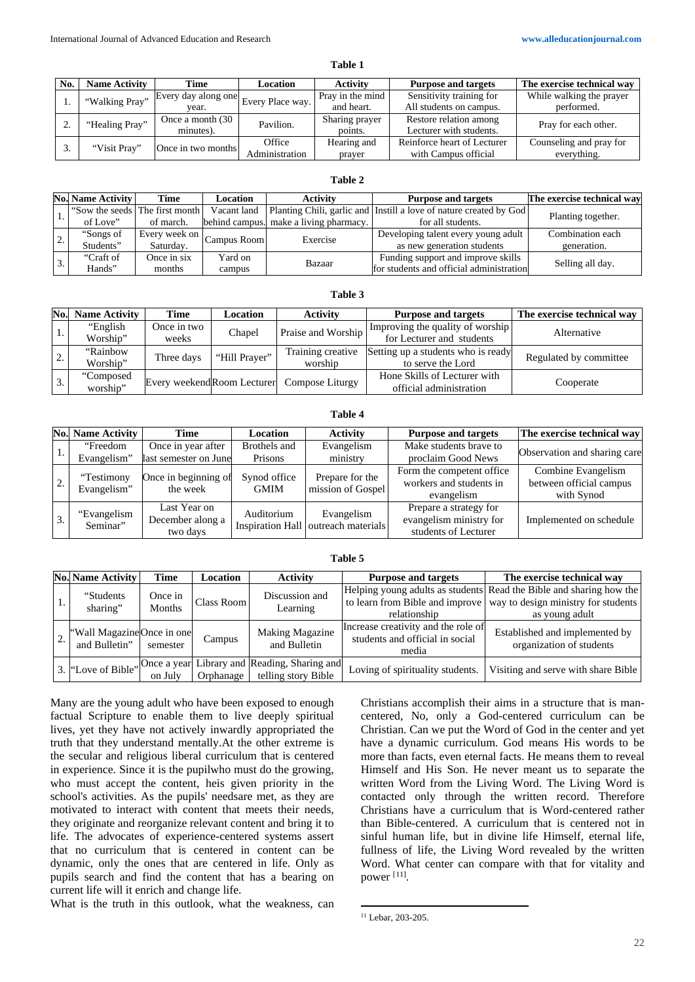| anı<br>١F |  |
|-----------|--|
|-----------|--|

| No. | <b>Name Activity</b> | Time                                                                      | Location       | <b>Activity</b>  | <b>Purpose and targets</b>  | The exercise technical way |
|-----|----------------------|---------------------------------------------------------------------------|----------------|------------------|-----------------------------|----------------------------|
|     | "Walking Pray"       | , $  \overline{\text{Every day}}$ along one $  \text{Every Place way.}  $ |                | Pray in the mind | Sensitivity training for    | While walking the prayer   |
|     |                      | vear.                                                                     |                | and heart.       | All students on campus.     | performed.                 |
|     | "Healing Pray"       | Once a month (30)                                                         | Pavilion.      | Sharing prayer   | Restore relation among      | Pray for each other.       |
| ٠.  |                      | minutes).                                                                 |                | points.          | Lecturer with students.     |                            |
|     | "Visit Pray"         |                                                                           | Office         | Hearing and      | Reinforce heart of Lecturer | Counseling and pray for    |
|     |                      | Once in two months                                                        | Administration | prayer           | with Campus official        | everything.                |

### **Table 2**

|  | <b>No. Name Activity</b>                    | Time                                                   | <b>Location</b> | <b>Activity</b>                        | <b>Purpose and targets</b>                                         | The exercise technical way |  |
|--|---------------------------------------------|--------------------------------------------------------|-----------------|----------------------------------------|--------------------------------------------------------------------|----------------------------|--|
|  | "Sow the seeds The first month Vacant land" |                                                        |                 |                                        | Planting Chili, garlic and Instill a love of nature created by God | Planting together.         |  |
|  | of Love"                                    | of march.                                              |                 | behind campus. make a living pharmacy. | for all students.                                                  |                            |  |
|  | "Songs of                                   | $\sqrt{\frac{1}{2}}$ Every week on $\vert$ Campus Room |                 | Exercise                               | Developing talent every young adult                                | Combination each           |  |
|  | Students"                                   | Saturday.                                              |                 |                                        | as new generation students                                         | generation.                |  |
|  | "Craft of                                   | Once in six                                            | Yard on         | Bazaar                                 | Funding support and improve skills                                 | Selling all day.           |  |
|  | Hands"                                      | months                                                 | campus          |                                        | for students and official administration                           |                            |  |

#### **Table 3**

| No. | <b>Name Activity</b> | Time                        | Location      | <b>Activity</b>              | <b>Purpose and targets</b>         | The exercise technical way |
|-----|----------------------|-----------------------------|---------------|------------------------------|------------------------------------|----------------------------|
| 1.  | "English"            | Once in two                 |               | Praise and Worship<br>Chapel | Improving the quality of worship   | Alternative                |
|     | Worship"             | weeks                       |               |                              | for Lecturer and students          |                            |
| ۷.  | "Rainbow"            | Three days                  | "Hill Prayer" | Training creative            | Setting up a students who is ready | Regulated by committee     |
|     | Worship"             |                             |               | worship                      | to serve the Lord                  |                            |
|     | "Composed            | Every weekend Room Lecturer |               |                              | Hone Skills of Lecturer with       |                            |
|     | worship"             |                             |               | Compose Liturgy              | official administration            | Cooperate                  |

# **Table 4**

|    | No. Name Activity         | Time                                         | Location                    | <b>Activity</b>                                   | <b>Purpose and targets</b>                                                | The exercise technical way                                  |
|----|---------------------------|----------------------------------------------|-----------------------------|---------------------------------------------------|---------------------------------------------------------------------------|-------------------------------------------------------------|
|    | "Freedom<br>Evangelism"   | Once in year after<br>last semester on June  | Brothels and<br>Prisons     | Evangelism<br>ministry                            | Make students brave to<br>proclaim Good News                              | Observation and sharing care                                |
|    | "Testimony<br>Evangelism" | Once in beginning of<br>the week             | Synod office<br><b>GMIM</b> | Prepare for the<br>mission of Gospel              | Form the competent office.<br>workers and students in<br>evangelism       | Combine Evangelism<br>between official campus<br>with Synod |
| 3. | "Evangelism"<br>Seminar"  | Last Year on<br>December along a<br>two days | Auditorium                  | Evangelism<br>Inspiration Hall outreach materials | Prepare a strategy for<br>evangelism ministry for<br>students of Lecturer | Implemented on schedule                                     |

#### **Table 5**

|  | No. Name Activity                           | <b>Time</b>       | <b>Location</b> | <b>Activity</b>                                                     | <b>Purpose and targets</b>                                                      | The exercise technical way                                                                                                                                     |
|--|---------------------------------------------|-------------------|-----------------|---------------------------------------------------------------------|---------------------------------------------------------------------------------|----------------------------------------------------------------------------------------------------------------------------------------------------------------|
|  | "Students"<br>sharing"                      | Once in<br>Months | Class Room      | Discussion and<br>Learning                                          | relationship                                                                    | Helping young adults as students Read the Bible and sharing how the<br>to learn from Bible and improve   way to design ministry for students<br>as young adult |
|  | "Wall Magazine Once in one<br>and Bulletin" | semester          | Campus          | <b>Making Magazine</b><br>and Bulletin                              | Increase creativity and the role of<br>students and official in social<br>media | Established and implemented by<br>organization of students                                                                                                     |
|  | 3. "Love of Bible"                          | on July           | Orphanage       | Once a year Library and Reading, Sharing and<br>telling story Bible | Loving of spirituality students.                                                | Visiting and serve with share Bible                                                                                                                            |

Many are the young adult who have been exposed to enough factual Scripture to enable them to live deeply spiritual lives, yet they have not actively inwardly appropriated the truth that they understand mentally.At the other extreme is the secular and religious liberal curriculum that is centered in experience. Since it is the pupilwho must do the growing, who must accept the content, heis given priority in the school's activities. As the pupils' needsare met, as they are motivated to interact with content that meets their needs, they originate and reorganize relevant content and bring it to life. The advocates of experience-centered systems assert that no curriculum that is centered in content can be dynamic, only the ones that are centered in life. Only as pupils search and find the content that has a bearing on current life will it enrich and change life.

<span id="page-3-0"></span>What is the truth in this outlook, what the weakness, can

Christians accomplish their aims in a structure that is mancentered, No, only a God-centered curriculum can be Christian. Can we put the Word of God in the center and yet have a dynamic curriculum. God means His words to be more than facts, even eternal facts. He means them to reveal Himself and His Son. He never meant us to separate the written Word from the Living Word. The Living Word is contacted only through the written record. Therefore Christians have a curriculum that is Word-centered rather than Bible-centered. A curriculum that is centered not in sinful human life, but in divine life Himself, eternal life, fullness of life, the Living Word revealed by the written Word. What center can compare with that for vitality and power [[11\]](#page-3-0) .

<sup>&</sup>lt;u>.</u> <sup>11</sup> Lebar, 203-205.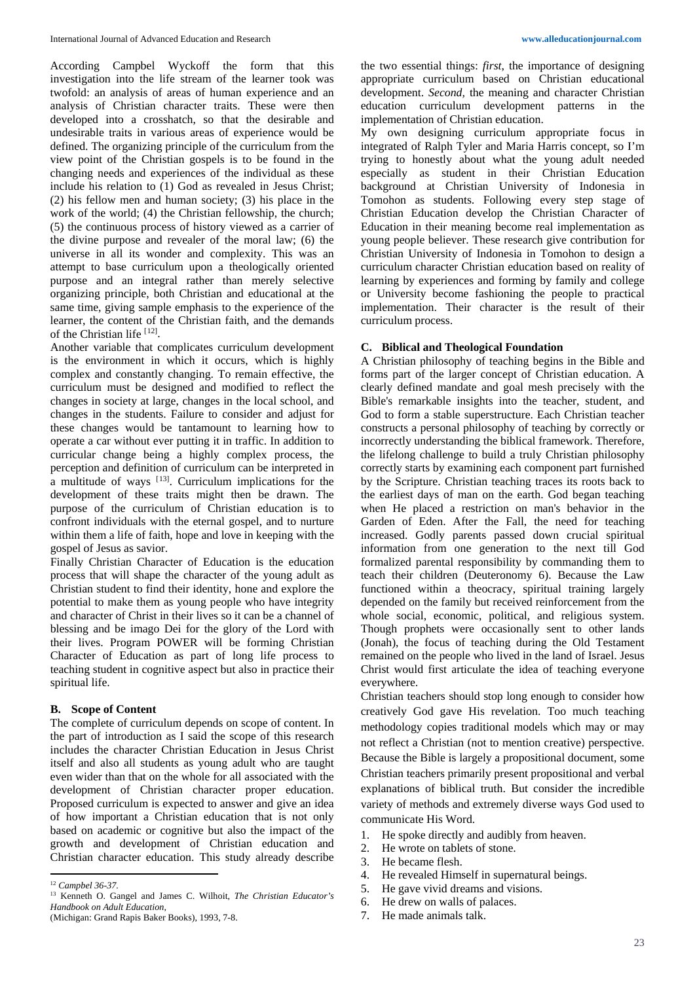According Campbel Wyckoff the form that this investigation into the life stream of the learner took was twofold: an analysis of areas of human experience and an analysis of Christian character traits. These were then developed into a crosshatch, so that the desirable and undesirable traits in various areas of experience would be defined. The organizing principle of the curriculum from the view point of the Christian gospels is to be found in the changing needs and experiences of the individual as these include his relation to (1) God as revealed in Jesus Christ; (2) his fellow men and human society; (3) his place in the work of the world; (4) the Christian fellowship, the church; (5) the continuous process of history viewed as a carrier of the divine purpose and revealer of the moral law; (6) the universe in all its wonder and complexity. This was an attempt to base curriculum upon a theologically oriented purpose and an integral rather than merely selective organizing principle, both Christian and educational at the same time, giving sample emphasis to the experience of the learner, the content of the Christian faith, and the demands of the Christian life<sup>[[12\]](#page-4-0)</sup>.

Another variable that complicates curriculum development is the environment in which it occurs, which is highly complex and constantly changing. To remain effective, the curriculum must be designed and modified to reflect the changes in society at large, changes in the local school, and changes in the students. Failure to consider and adjust for these changes would be tantamount to learning how to operate a car without ever putting it in traffic. In addition to curricular change being a highly complex process, the perception and definition of curriculum can be interpreted in a multitude of ways  $[13]$ . Curriculum implications for the development of these traits might then be drawn. The purpose of the curriculum of Christian education is to confront individuals with the eternal gospel, and to nurture within them a life of faith, hope and love in keeping with the gospel of Jesus as savior.

Finally Christian Character of Education is the education process that will shape the character of the young adult as Christian student to find their identity, hone and explore the potential to make them as young people who have integrity and character of Christ in their lives so it can be a channel of blessing and be imago Dei for the glory of the Lord with their lives. Program POWER will be forming Christian Character of Education as part of long life process to teaching student in cognitive aspect but also in practice their spiritual life.

#### **B. Scope of Content**

The complete of curriculum depends on scope of content. In the part of introduction as I said the scope of this research includes the character Christian Education in Jesus Christ itself and also all students as young adult who are taught even wider than that on the whole for all associated with the development of Christian character proper education. Proposed curriculum is expected to answer and give an idea of how important a Christian education that is not only based on academic or cognitive but also the impact of the growth and development of Christian education and Christian character education. This study already describe

 $\overline{a}$ 

the two essential things: *first*, the importance of designing appropriate curriculum based on Christian educational development. *Second,* the meaning and character Christian education curriculum development patterns in the implementation of Christian education.

My own designing curriculum appropriate focus in integrated of Ralph Tyler and Maria Harris concept, so I'm trying to honestly about what the young adult needed especially as student in their Christian Education background at Christian University of Indonesia in Tomohon as students. Following every step stage of Christian Education develop the Christian Character of Education in their meaning become real implementation as young people believer. These research give contribution for Christian University of Indonesia in Tomohon to design a curriculum character Christian education based on reality of learning by experiences and forming by family and college or University become fashioning the people to practical implementation. Their character is the result of their curriculum process.

# **C. Biblical and Theological Foundation**

A Christian philosophy of teaching begins in the Bible and forms part of the larger concept of Christian education. A clearly defined mandate and goal mesh precisely with the Bible's remarkable insights into the teacher, student, and God to form a stable superstructure. Each Christian teacher constructs a personal philosophy of teaching by correctly or incorrectly understanding the biblical framework. Therefore, the lifelong challenge to build a truly Christian philosophy correctly starts by examining each component part furnished by the Scripture. Christian teaching traces its roots back to the earliest days of man on the earth. God began teaching when He placed a restriction on man's behavior in the Garden of Eden. After the Fall, the need for teaching increased. Godly parents passed down crucial spiritual information from one generation to the next till God formalized parental responsibility by commanding them to teach their children (Deuteronomy 6). Because the Law functioned within a theocracy, spiritual training largely depended on the family but received reinforcement from the whole social, economic, political, and religious system. Though prophets were occasionally sent to other lands (Jonah), the focus of teaching during the Old Testament remained on the people who lived in the land of Israel. Jesus Christ would first articulate the idea of teaching everyone everywhere.

Christian teachers should stop long enough to consider how creatively God gave His revelation. Too much teaching methodology copies traditional models which may or may not reflect a Christian (not to mention creative) perspective. Because the Bible is largely a propositional document, some Christian teachers primarily present propositional and verbal explanations of biblical truth. But consider the incredible variety of methods and extremely diverse ways God used to communicate His Word.

- 1. He spoke directly and audibly from heaven.
- 2. He wrote on tablets of stone.
- 3. He became flesh.
- 4. He revealed Himself in supernatural beings.
- 5. He gave vivid dreams and visions.
- 6. He drew on walls of palaces.
- 7. He made animals talk.

<span id="page-4-0"></span><sup>12</sup> *Campbel 36-37.*

<span id="page-4-1"></span><sup>13</sup> Kenneth O. Gangel and James C. Wilhoit, *The Christian Educator's Handbook on Adult Education,* (Michigan: Grand Rapis Baker Books), 1993, 7-8.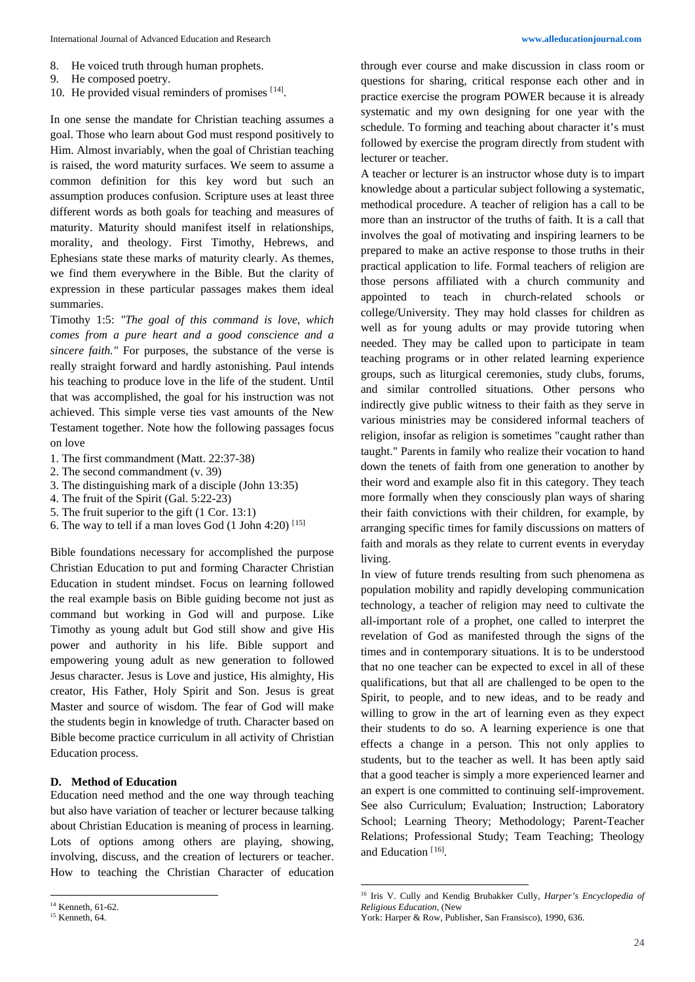- 8. He voiced truth through human prophets.
- 9. He composed poetry.
- 10. He provided visual reminders of promises [[14\]](#page-5-0).

In one sense the mandate for Christian teaching assumes a goal. Those who learn about God must respond positively to Him. Almost invariably, when the goal of Christian teaching is raised, the word maturity surfaces. We seem to assume a common definition for this key word but such an assumption produces confusion. Scripture uses at least three different words as both goals for teaching and measures of maturity. Maturity should manifest itself in relationships, morality, and theology. First Timothy, Hebrews, and Ephesians state these marks of maturity clearly. As themes, we find them everywhere in the Bible. But the clarity of expression in these particular passages makes them ideal summaries.

Timothy 1:5: *"The goal of this command is love, which comes from a pure heart and a good conscience and a sincere faith."* For purposes, the substance of the verse is really straight forward and hardly astonishing. Paul intends his teaching to produce love in the life of the student. Until that was accomplished, the goal for his instruction was not achieved. This simple verse ties vast amounts of the New Testament together. Note how the following passages focus on love

- 1. The first commandment (Matt. 22:37-38)
- 2. The second commandment (v. 39)
- 3. The distinguishing mark of a disciple (John 13:35)
- 4. The fruit of the Spirit (Gal. 5:22-23)
- 5. The fruit superior to the gift (1 Cor. 13:1)
- 6. The way to tell if a man loves God  $(1$  John 4:20) <sup>[[15](#page-5-1)]</sup>

Bible foundations necessary for accomplished the purpose Christian Education to put and forming Character Christian Education in student mindset. Focus on learning followed the real example basis on Bible guiding become not just as command but working in God will and purpose. Like Timothy as young adult but God still show and give His power and authority in his life. Bible support and empowering young adult as new generation to followed Jesus character. Jesus is Love and justice, His almighty, His creator, His Father, Holy Spirit and Son. Jesus is great Master and source of wisdom. The fear of God will make the students begin in knowledge of truth. Character based on Bible become practice curriculum in all activity of Christian Education process.

#### **D. Method of Education**

Education need method and the one way through teaching but also have variation of teacher or lecturer because talking about Christian Education is meaning of process in learning. Lots of options among others are playing, showing, involving, discuss, and the creation of lecturers or teacher. How to teaching the Christian Character of education

 $\overline{a}$ 

through ever course and make discussion in class room or questions for sharing, critical response each other and in practice exercise the program POWER because it is already systematic and my own designing for one year with the schedule. To forming and teaching about character it's must followed by exercise the program directly from student with lecturer or teacher.

A teacher or lecturer is an instructor whose duty is to impart knowledge about a particular subject following a systematic, methodical procedure. A teacher of religion has a call to be more than an instructor of the truths of faith. It is a call that involves the goal of motivating and inspiring learners to be prepared to make an active response to those truths in their practical application to life. Formal teachers of religion are those persons affiliated with a church community and appointed to teach in church-related schools or college/University. They may hold classes for children as well as for young adults or may provide tutoring when needed. They may be called upon to participate in team teaching programs or in other related learning experience groups, such as liturgical ceremonies, study clubs, forums, and similar controlled situations. Other persons who indirectly give public witness to their faith as they serve in various ministries may be considered informal teachers of religion, insofar as religion is sometimes "caught rather than taught." Parents in family who realize their vocation to hand down the tenets of faith from one generation to another by their word and example also fit in this category. They teach more formally when they consciously plan ways of sharing their faith convictions with their children, for example, by arranging specific times for family discussions on matters of faith and morals as they relate to current events in everyday living.

In view of future trends resulting from such phenomena as population mobility and rapidly developing communication technology, a teacher of religion may need to cultivate the all-important role of a prophet, one called to interpret the revelation of God as manifested through the signs of the times and in contemporary situations. It is to be understood that no one teacher can be expected to excel in all of these qualifications, but that all are challenged to be open to the Spirit, to people, and to new ideas, and to be ready and willing to grow in the art of learning even as they expect their students to do so. A learning experience is one that effects a change in a person. This not only applies to students, but to the teacher as well. It has been aptly said that a good teacher is simply a more experienced learner and an expert is one committed to continuing self-improvement. See also Curriculum; Evaluation; Instruction; Laboratory School; Learning Theory; Methodology; Parent-Teacher Relations; Professional Study; Team Teaching; Theology and Education<sup>[[16](#page-5-2)]</sup>.

<u>.</u>

<span id="page-5-2"></span><span id="page-5-0"></span><sup>&</sup>lt;sup>14</sup> Kenneth, 61-62.

<span id="page-5-1"></span><sup>15</sup> Kenneth, 64.

<sup>16</sup> Iris V. Cully and Kendig Brubakker Cully, *Harper's Encyclopedia of Religious Education,* (New

York: Harper & Row, Publisher, San Fransisco), 1990, 636.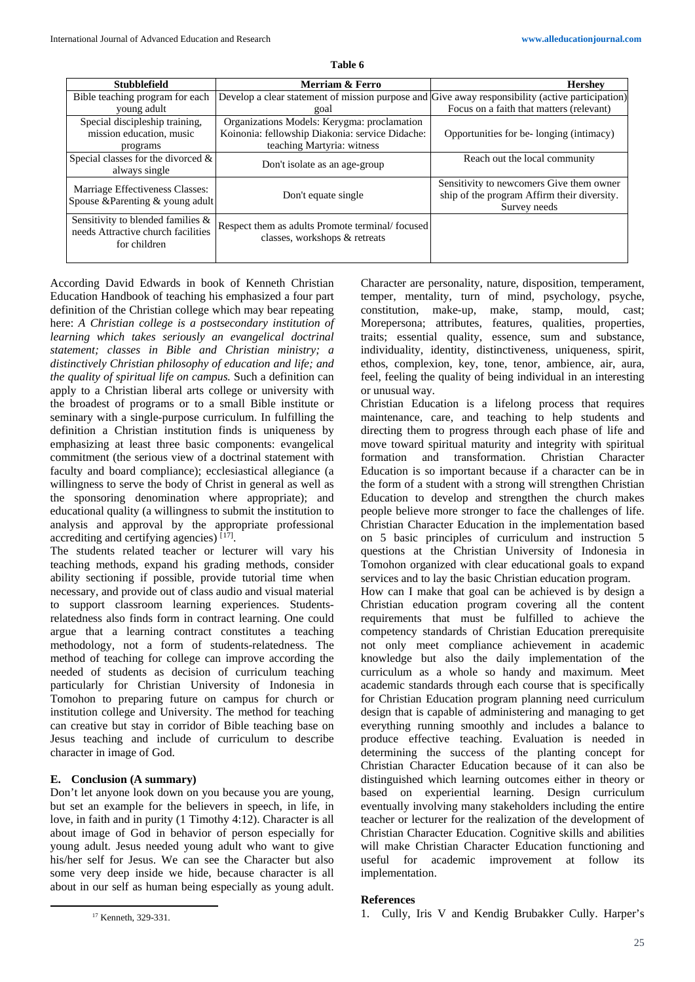| <b>Stubblefield</b>                                                                        | Merriam & Ferro                                                                                  | <b>Hershev</b>                              |
|--------------------------------------------------------------------------------------------|--------------------------------------------------------------------------------------------------|---------------------------------------------|
| Bible teaching program for each                                                            | Develop a clear statement of mission purpose and Give away responsibility (active participation) |                                             |
| young adult                                                                                | goal                                                                                             | Focus on a faith that matters (relevant)    |
| Special discipleship training,                                                             | Organizations Models: Kerygma: proclamation                                                      |                                             |
| mission education, music                                                                   | Koinonia: fellowship Diakonia: service Didache:                                                  | Opportunities for be-longing (intimacy)     |
| programs                                                                                   | teaching Martyria: witness                                                                       |                                             |
| Special classes for the divorced $\&$                                                      | Don't isolate as an age-group                                                                    | Reach out the local community               |
| always single                                                                              |                                                                                                  |                                             |
| Marriage Effectiveness Classes:                                                            |                                                                                                  | Sensitivity to newcomers Give them owner    |
| Spouse & Parenting & young adult                                                           | Don't equate single                                                                              | ship of the program Affirm their diversity. |
|                                                                                            |                                                                                                  | Survey needs                                |
| Sensitivity to blended families $\&$<br>needs Attractive church facilities<br>for children | Respect them as adults Promote terminal/focused<br>classes, workshops & retreats                 |                                             |
|                                                                                            |                                                                                                  |                                             |

**Table 6**

According David Edwards in book of Kenneth Christian Education Handbook of teaching his emphasized a four part definition of the Christian college which may bear repeating here: *A Christian college is a postsecondary institution of learning which takes seriously an evangelical doctrinal statement; classes in Bible and Christian ministry; a distinctively Christian philosophy of education and life; and the quality of spiritual life on campus.* Such a definition can apply to a Christian liberal arts college or university with the broadest of programs or to a small Bible institute or seminary with a single-purpose curriculum. In fulfilling the definition a Christian institution finds is uniqueness by emphasizing at least three basic components: evangelical commitment (the serious view of a doctrinal statement with faculty and board compliance); ecclesiastical allegiance (a willingness to serve the body of Christ in general as well as the sponsoring denomination where appropriate); and educational quality (a willingness to submit the institution to analysis and approval by the appropriate professional accrediting and certifying agencies)<sup>[[17\]](#page-6-0)</sup>.

The students related teacher or lecturer will vary his teaching methods, expand his grading methods, consider ability sectioning if possible, provide tutorial time when necessary, and provide out of class audio and visual material to support classroom learning experiences. Studentsrelatedness also finds form in contract learning. One could argue that a learning contract constitutes a teaching methodology, not a form of students-relatedness. The method of teaching for college can improve according the needed of students as decision of curriculum teaching particularly for Christian University of Indonesia in Tomohon to preparing future on campus for church or institution college and University. The method for teaching can creative but stay in corridor of Bible teaching base on Jesus teaching and include of curriculum to describe character in image of God.

# **E. Conclusion (A summary)**

Don't let anyone look down on you because you are young, but set an example for the believers in speech, in life, in love, in faith and in purity (1 Timothy 4:12). Character is all about image of God in behavior of person especially for young adult. Jesus needed young adult who want to give his/her self for Jesus. We can see the Character but also some very deep inside we hide, because character is all about in our self as human being especially as young adult.

<span id="page-6-0"></span>l

Character are personality, nature, disposition, temperament, temper, mentality, turn of mind, psychology, psyche, constitution, make-up, make, stamp, mould, cast; Morepersona; attributes, features, qualities, properties, traits; essential quality, essence, sum and substance, individuality, identity, distinctiveness, uniqueness, spirit, ethos, complexion, key, tone, tenor, ambience, air, aura, feel, feeling the quality of being individual in an interesting or unusual way.

Christian Education is a lifelong process that requires maintenance, care, and teaching to help students and directing them to progress through each phase of life and move toward spiritual maturity and integrity with spiritual formation and transformation. Christian Character Education is so important because if a character can be in the form of a student with a strong will strengthen Christian Education to develop and strengthen the church makes people believe more stronger to face the challenges of life. Christian Character Education in the implementation based on 5 basic principles of curriculum and instruction 5 questions at the Christian University of Indonesia in Tomohon organized with clear educational goals to expand services and to lay the basic Christian education program.

How can I make that goal can be achieved is by design a Christian education program covering all the content requirements that must be fulfilled to achieve the competency standards of Christian Education prerequisite not only meet compliance achievement in academic knowledge but also the daily implementation of the curriculum as a whole so handy and maximum. Meet academic standards through each course that is specifically for Christian Education program planning need curriculum design that is capable of administering and managing to get everything running smoothly and includes a balance to produce effective teaching. Evaluation is needed in determining the success of the planting concept for Christian Character Education because of it can also be distinguished which learning outcomes either in theory or based on experiential learning. Design curriculum eventually involving many stakeholders including the entire teacher or lecturer for the realization of the development of Christian Character Education. Cognitive skills and abilities will make Christian Character Education functioning and useful for academic improvement at follow its implementation.

#### **References**

1. Cully, Iris V and Kendig Brubakker Cully. Harper's